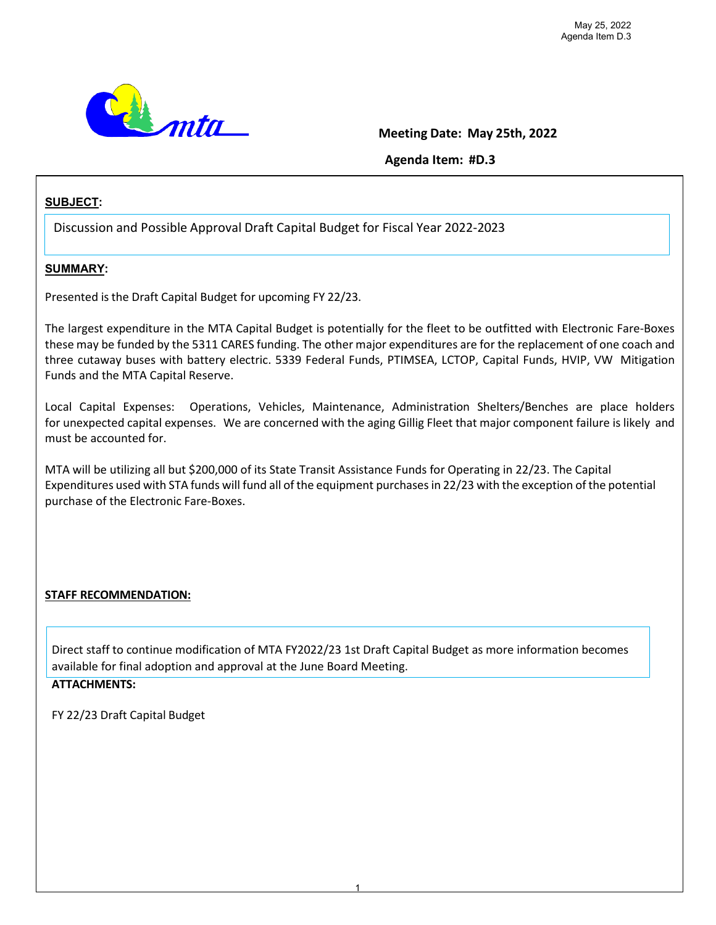

### **Meeting Date: May 25th, 2022**

**Agenda Item: #D.3** 

### **SUBJECT:**

Discussion and Possible Approval Draft Capital Budget for Fiscal Year 2022-2023

### **SUMMARY:**

Presented is the Draft Capital Budget for upcoming FY 22/23.

The largest expenditure in the MTA Capital Budget is potentially for the fleet to be outfitted with Electronic Fare-Boxes these may be funded by the 5311 CARES funding. The other major expenditures are for the replacement of one coach and three cutaway buses with battery electric. 5339 Federal Funds, PTIMSEA, LCTOP, Capital Funds, HVIP, VW Mitigation Funds and the MTA Capital Reserve.

Local Capital Expenses: Operations, Vehicles, Maintenance, Administration Shelters/Benches are place holders for unexpected capital expenses. We are concerned with the aging Gillig Fleet that major component failure is likely and must be accounted for.

MTA will be utilizing all but \$200,000 of its State Transit Assistance Funds for Operating in 22/23. The Capital Expenditures used with STA funds will fund all of the equipment purchasesin 22/23 with the exception of the potential purchase of the Electronic Fare-Boxes.

### **STAFF RECOMMENDATION:**

Direct staff to continue modification of MTA FY2022/23 1st Draft Capital Budget as more information becomes available for final adoption and approval at the June Board Meeting.

### **ATTACHMENTS:**

FY 22/23 Draft Capital Budget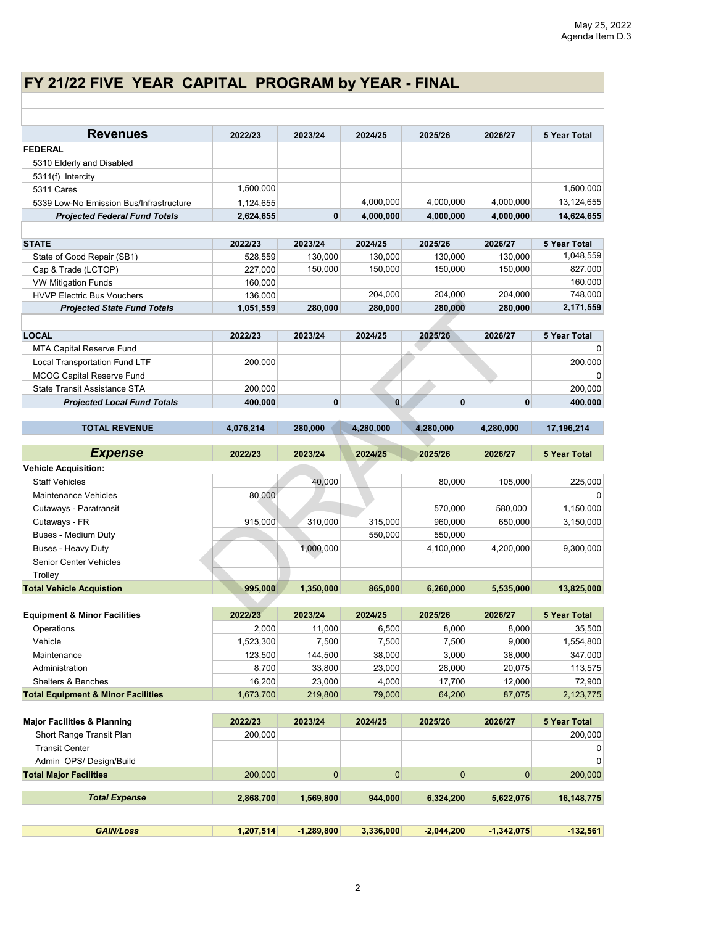# **FY 21/22 FIVE YEAR CAPITAL PROGRAM by YEAR - FINAL**

| <b>Revenues</b>                               | 2022/23   | 2023/24      | 2024/25        | 2025/26      | 2026/27      | <b>5 Year Total</b> |
|-----------------------------------------------|-----------|--------------|----------------|--------------|--------------|---------------------|
| <b>FEDERAL</b>                                |           |              |                |              |              |                     |
| 5310 Elderly and Disabled                     |           |              |                |              |              |                     |
| 5311(f) Intercity                             |           |              |                |              |              |                     |
| 5311 Cares                                    | 1,500,000 |              |                |              |              | 1,500,000           |
| 5339 Low-No Emission Bus/Infrastructure       | 1,124,655 |              | 4,000,000      | 4,000,000    | 4,000,000    | 13,124,655          |
| <b>Projected Federal Fund Totals</b>          | 2,624,655 | $\mathbf{0}$ | 4,000,000      | 4,000,000    | 4,000,000    | 14,624,655          |
|                                               |           |              |                |              |              |                     |
| <b>STATE</b>                                  | 2022/23   | 2023/24      | 2024/25        | 2025/26      | 2026/27      | <b>5 Year Total</b> |
| State of Good Repair (SB1)                    | 528,559   | 130,000      | 130,000        | 130,000      | 130.000      | 1,048,559           |
| Cap & Trade (LCTOP)                           | 227,000   | 150,000      | 150,000        | 150,000      | 150,000      | 827,000             |
| <b>VW Mitigation Funds</b>                    | 160,000   |              |                |              |              | 160,000             |
| <b>HVVP Electric Bus Vouchers</b>             | 136,000   |              | 204,000        | 204,000      | 204,000      | 748,000             |
| <b>Projected State Fund Totals</b>            | 1,051,559 | 280,000      | 280,000        | 280,000      | 280,000      | 2,171,559           |
|                                               |           |              |                |              |              |                     |
| <b>LOCAL</b>                                  | 2022/23   | 2023/24      | 2024/25        | 2025/26      | 2026/27      | <b>5 Year Total</b> |
| <b>MTA Capital Reserve Fund</b>               |           |              |                |              |              | $\Omega$            |
| Local Transportation Fund LTF                 | 200,000   |              |                |              |              | 200,000             |
| <b>MCOG Capital Reserve Fund</b>              |           |              |                |              |              | 0                   |
| State Transit Assistance STA                  | 200,000   |              |                |              |              | 200,000             |
| <b>Projected Local Fund Totals</b>            | 400,000   | $\pmb{0}$    | $\overline{0}$ | $\mathbf{0}$ | 0            | 400,000             |
|                                               |           |              |                |              |              |                     |
| <b>TOTAL REVENUE</b>                          | 4,076,214 | 280,000      | 4,280,000      | 4,280,000    | 4,280,000    | 17,196,214          |
|                                               |           |              |                |              |              |                     |
| <b>Expense</b>                                | 2022/23   | 2023/24      | 2024/25        | 2025/26      | 2026/27      | <b>5 Year Total</b> |
| <b>Vehicle Acquisition:</b>                   |           |              |                |              |              |                     |
| <b>Staff Vehicles</b>                         |           | 40,000       |                | 80,000       | 105,000      | 225,000             |
| <b>Maintenance Vehicles</b>                   | 80,000    |              |                |              |              | $\Omega$            |
| Cutaways - Paratransit                        |           |              |                | 570,000      | 580,000      | 1,150,000           |
| Cutaways - FR                                 | 915,000   | 310,000      | 315,000        | 960,000      | 650,000      | 3,150,000           |
| <b>Buses - Medium Duty</b>                    |           |              | 550,000        | 550,000      |              |                     |
| <b>Buses - Heavy Duty</b>                     |           | 1,000,000    |                | 4,100,000    | 4,200,000    | 9,300,000           |
| <b>Senior Center Vehicles</b>                 |           |              |                |              |              |                     |
| Trolley<br><b>Total Vehicle Acquistion</b>    | 995.000   |              |                |              |              |                     |
|                                               |           | 1,350,000    | 865,000        | 6,260,000    | 5,535,000    | 13,825,000          |
| <b>Equipment &amp; Minor Facilities</b>       | 2022/23   | 2023/24      | 2024/25        | 2025/26      | 2026/27      | <b>5 Year Total</b> |
| Operations                                    | 2,000     | 11,000       | 6,500          | 8,000        | 8,000        | 35,500              |
| Vehicle                                       | 1,523,300 | 7,500        | 7,500          | 7,500        | 9,000        | 1,554,800           |
| Maintenance                                   | 123,500   | 144,500      | 38,000         | 3,000        | 38,000       | 347,000             |
| Administration                                | 8,700     | 33,800       | 23,000         | 28,000       | 20,075       | 113,575             |
| Shelters & Benches                            | 16,200    | 23,000       | 4,000          | 17,700       | 12,000       | 72,900              |
| <b>Total Equipment &amp; Minor Facilities</b> | 1,673,700 | 219,800      | 79,000         | 64,200       | 87,075       | 2,123,775           |
|                                               |           |              |                |              |              |                     |
| <b>Major Facilities &amp; Planning</b>        | 2022/23   | 2023/24      | 2024/25        | 2025/26      | 2026/27      | <b>5 Year Total</b> |
| Short Range Transit Plan                      | 200,000   |              |                |              |              | 200,000             |
| <b>Transit Center</b>                         |           |              |                |              |              | 0                   |
| Admin OPS/Design/Build                        |           |              |                |              |              | 0                   |
| <b>Total Major Facilities</b>                 | 200,000   | $\pmb{0}$    | $\overline{0}$ | $\pmb{0}$    | $\mathbf 0$  | 200,000             |
|                                               |           |              |                |              |              |                     |
| <b>Total Expense</b>                          | 2,868,700 | 1,569,800    | 944,000        | 6,324,200    | 5,622,075    | 16,148,775          |
|                                               |           |              |                |              |              |                     |
| <b>GAIN/Loss</b>                              | 1,207,514 | $-1,289,800$ | 3,336,000      | $-2,044,200$ | $-1,342,075$ | $-132,561$          |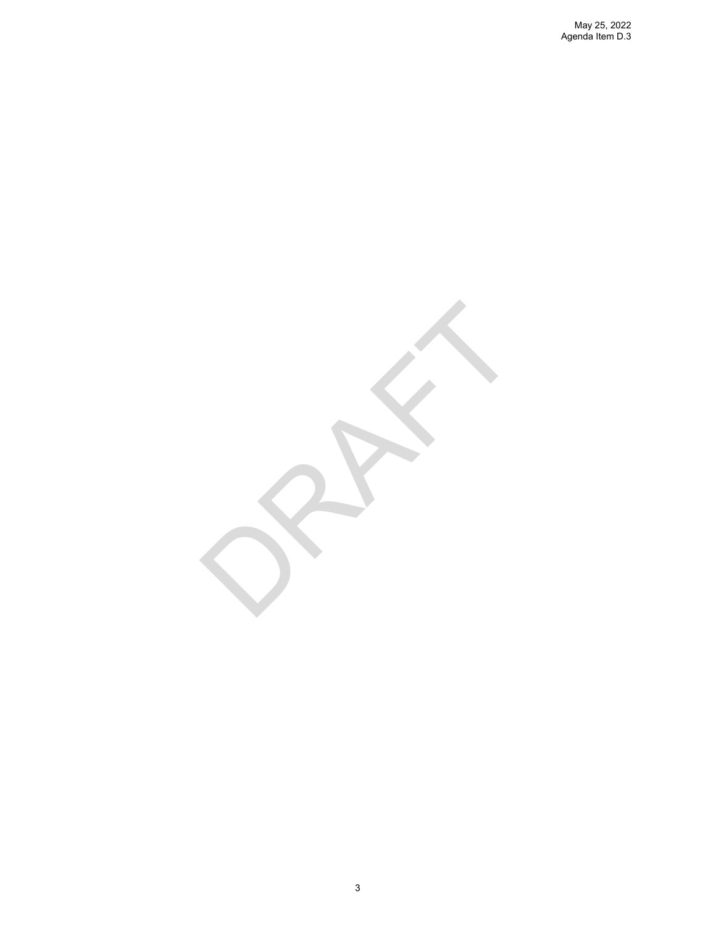RAFT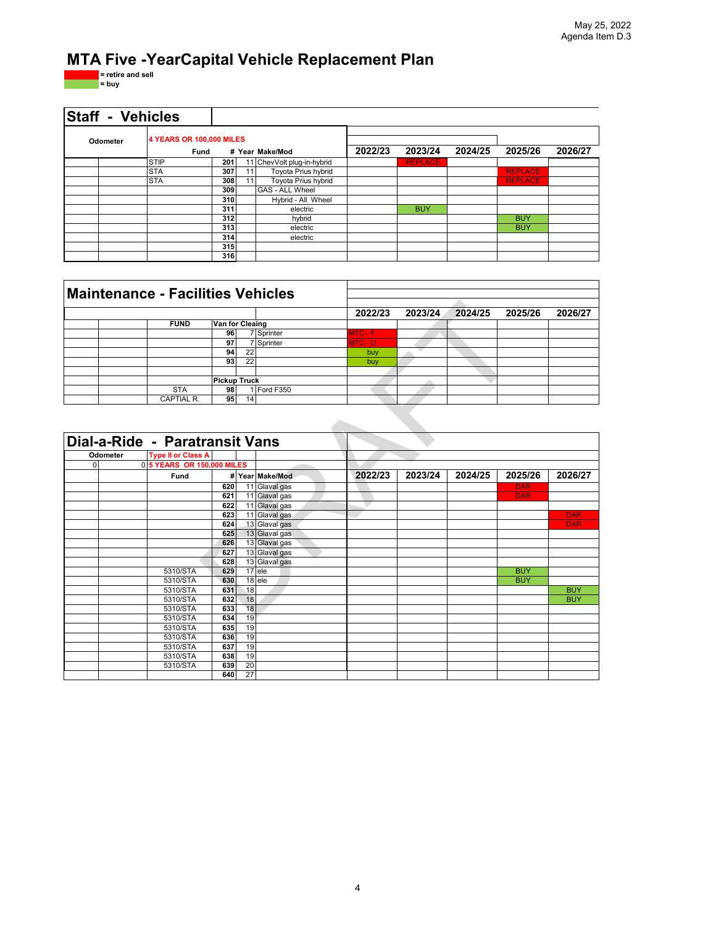## **MTA Five -YearCapital Vehicle Replacement Plan**

**= retire and sell = buy**

| <b>Staff - Vehicles</b> |                                         |                  |    |                            |         |                |         |                |         |
|-------------------------|-----------------------------------------|------------------|----|----------------------------|---------|----------------|---------|----------------|---------|
| Odometer                | <b>4 YEARS OR 100,000 MILES</b><br>Fund |                  |    | # Year Make/Mod            | 2022/23 | 2023/24        | 2024/25 | 2025/26        | 2026/27 |
|                         | <b>STIP</b>                             | 201              |    | 11 ChevVolt plug-in-hybrid |         | <b>REPLACE</b> |         |                |         |
|                         | <b>STA</b>                              | 307              | 11 | <b>Toyota Prius hybrid</b> |         |                |         | <b>REPLACE</b> |         |
|                         | <b>STA</b>                              | 308              | 11 | Toyota Prius hybrid        |         |                |         | <b>REPLACE</b> |         |
|                         |                                         | 309              |    | <b>GAS - ALL Wheel</b>     |         |                |         |                |         |
|                         |                                         | 310 <sup>1</sup> |    | Hybrid - All Wheel         |         |                |         |                |         |
|                         |                                         | 311              |    | electric                   |         | <b>BUY</b>     |         |                |         |
|                         |                                         | 312              |    | hybrid                     |         |                |         | <b>BUY</b>     |         |
|                         |                                         | 313              |    | electric                   |         |                |         | <b>BUY</b>     |         |
|                         |                                         | 314              |    | electric                   |         |                |         |                |         |
|                         |                                         | 315              |    |                            |         |                |         |                |         |
|                         |                                         | 316              |    |                            |         |                |         |                |         |

| <b>Maintenance - Facilities Vehicles</b> |             |                     |                 |             |           |         |         |         |         |
|------------------------------------------|-------------|---------------------|-----------------|-------------|-----------|---------|---------|---------|---------|
|                                          |             |                     |                 |             |           |         |         |         |         |
|                                          |             |                     |                 |             | 2022/23   | 2023/24 | 2024/25 | 2025/26 | 2026/27 |
|                                          | <b>FUND</b> | Van for Cleaing     |                 |             |           |         |         |         |         |
|                                          |             | 96                  |                 | 7 Sprinter  | $MTC - F$ |         |         |         |         |
|                                          |             | 97                  |                 | 7 Sprinter  | $MTC - U$ |         |         |         |         |
|                                          |             | 94                  | 22              |             | buy       |         |         |         |         |
|                                          |             | 93                  | 22              |             | buy       |         |         |         |         |
|                                          |             |                     |                 |             |           |         |         |         |         |
|                                          |             | <b>Pickup Truck</b> |                 |             |           |         |         |         |         |
|                                          | <b>STA</b>  | 98                  |                 | 1 Ford F350 |           |         |         |         |         |
|                                          | CAPTIAL R.  | 95                  | 14 <sup>1</sup> |             |           |         |         |         |         |

|          |          |                                |                     |                 |                 | 2022/23   | 2023/24 | 2024/25 | 2025/26    | 2026/27    |
|----------|----------|--------------------------------|---------------------|-----------------|-----------------|-----------|---------|---------|------------|------------|
|          |          | <b>FUND</b>                    | Van for Cleaing     |                 |                 |           |         |         |            |            |
|          |          |                                | 96                  |                 | 7 Sprinter      | $MTC - F$ |         |         |            |            |
|          |          |                                | 97                  |                 | 7 Sprinter      | MTC - U   |         |         |            |            |
|          |          |                                | 94                  | $\overline{22}$ |                 | buy       |         |         |            |            |
|          |          |                                | $\overline{93}$     | $\overline{22}$ |                 | buy       |         |         |            |            |
|          |          |                                |                     |                 |                 |           |         |         |            |            |
|          |          |                                | <b>Pickup Truck</b> |                 |                 |           |         |         |            |            |
|          |          | <b>STA</b>                     | 98                  |                 | 1 Ford F350     |           |         |         |            |            |
|          |          | <b>CAPTIAL R.</b>              | 95                  | 14              |                 |           |         |         |            |            |
|          |          | Dial-a-Ride - Paratransit Vans |                     |                 |                 |           |         |         |            |            |
|          | Odometer | <b>Type II or Class A</b>      |                     |                 |                 |           |         |         |            |            |
| $\Omega$ |          | 0 5 YEARS OR 150,000 MILES     |                     |                 |                 |           |         |         |            |            |
|          |          | Fund                           |                     |                 | # Year Make/Mod | 2022/23   | 2023/24 | 2024/25 | 2025/26    | 2026/27    |
|          |          |                                | 620                 | 11              | Glaval gas      |           |         |         | <b>DAR</b> |            |
|          |          |                                | 621                 |                 | 11 Glaval gas   |           |         |         | <b>DAR</b> |            |
|          |          |                                | 622                 |                 | 11 Glaval gas   |           |         |         |            |            |
|          |          |                                | 623                 |                 | 11 Glaval gas   |           |         |         |            | <b>DAR</b> |
|          |          |                                | 624                 |                 | 13 Glaval gas   |           |         |         |            | <b>DAR</b> |
|          |          |                                | 625                 |                 | 13 Glaval gas   |           |         |         |            |            |
|          |          |                                | 626                 |                 | 13 Glaval gas   |           |         |         |            |            |
|          |          |                                | 627                 |                 | 13 Glaval gas   |           |         |         |            |            |
|          |          |                                | 628                 |                 | 13 Glaval gas   |           |         |         |            |            |
|          |          | 5310/STA                       | 629                 |                 | 17 ele          |           |         |         | <b>BUY</b> |            |
|          |          | 5310/STA                       | 630                 |                 | 18 ele          |           |         |         | <b>BUY</b> |            |
|          |          | 5310/STA                       | 631                 | 18              |                 |           |         |         |            | <b>BUY</b> |
|          |          | 5310/STA                       | 632                 | 18              |                 |           |         |         |            | <b>BUY</b> |
|          |          | 5310/STA                       | 633                 | 18              |                 |           |         |         |            |            |
|          |          | 5310/STA                       | 634                 | 19              |                 |           |         |         |            |            |
|          |          | 5310/STA                       | 635                 | 19              |                 |           |         |         |            |            |
|          |          | 5310/STA                       | 636                 | 19              |                 |           |         |         |            |            |
|          |          | 5310/STA                       | 637                 | 19              |                 |           |         |         |            |            |
|          |          | 5310/STA                       | 638                 | 19              |                 |           |         |         |            |            |
|          |          | 5310/STA                       | 639                 | 20              |                 |           |         |         |            |            |
|          |          |                                | 640                 | 27              |                 |           |         |         |            |            |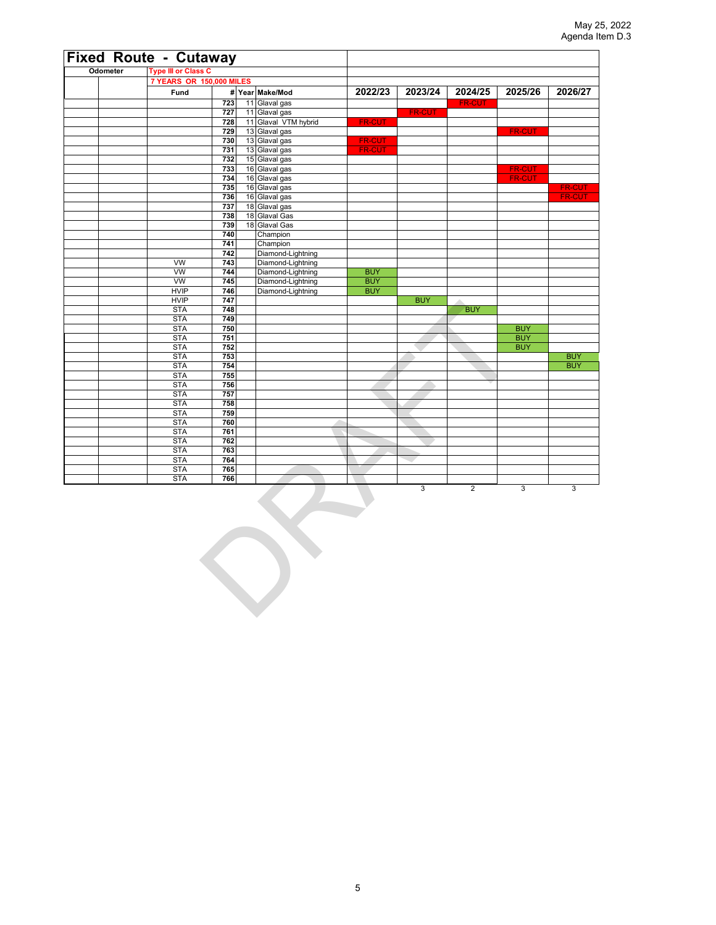| <b>Fixed Route - Cutaway</b> |                            |            |                                |               |                |                |                |                |
|------------------------------|----------------------------|------------|--------------------------------|---------------|----------------|----------------|----------------|----------------|
| <b>Odometer</b>              | <b>Type III or Class C</b> |            |                                |               |                |                |                |                |
|                              | 7 YEARS OR 150,000 MILES   |            |                                |               |                |                |                |                |
|                              | Fund                       |            | # Year Make/Mod                | 2022/23       | 2023/24        | 2024/25        | 2025/26        | 2026/27        |
|                              |                            | 723        | 11 Glaval gas                  |               |                | <b>FR-CUT</b>  |                |                |
|                              |                            | 727        | 11 Glaval gas                  |               | <b>FR-CUT</b>  |                |                |                |
|                              |                            | 728        | 11 Glaval VTM hybrid           | <b>FR-CUT</b> |                |                |                |                |
|                              |                            | 729        | 13 Glaval gas                  |               |                |                | <b>FR-CUT</b>  |                |
|                              |                            | 730        | 13 Glaval gas                  | <b>FR-CUT</b> |                |                |                |                |
|                              |                            | 731        | 13 Glaval gas                  | FR-CUT        |                |                |                |                |
|                              |                            | 732        | 15 Glaval gas                  |               |                |                |                |                |
|                              |                            | 733        | 16 Glaval gas                  |               |                |                | <b>FR-CUT</b>  |                |
|                              |                            | 734        | 16 Glaval gas                  |               |                |                | <b>FR-CUT</b>  |                |
|                              |                            | 735        | 16 Glaval gas                  |               |                |                |                | <b>FR-CUT</b>  |
|                              |                            | 736<br>737 | 16 Glaval gas                  |               |                |                |                | <b>FR-CUT</b>  |
|                              |                            | 738        | 18 Glaval gas<br>18 Glaval Gas |               |                |                |                |                |
|                              |                            | 739        | 18 Glaval Gas                  |               |                |                |                |                |
|                              |                            | 740        | Champion                       |               |                |                |                |                |
|                              |                            | 741        | Champion                       |               |                |                |                |                |
|                              |                            | 742        | Diamond-Lightning              |               |                |                |                |                |
|                              | <b>VW</b>                  | 743        | Diamond-Lightning              |               |                |                |                |                |
|                              | <b>VW</b>                  | 744        | Diamond-Lightning              | <b>BUY</b>    |                |                |                |                |
|                              | <b>VW</b>                  | 745        | Diamond-Lightning              | <b>BUY</b>    |                |                |                |                |
|                              | <b>HVIP</b>                | 746        | Diamond-Lightning              | <b>BUY</b>    |                |                |                |                |
|                              | <b>HVIP</b>                | 747        |                                |               | <b>BUY</b>     |                |                |                |
|                              | <b>STA</b>                 | 748        |                                |               |                | <b>BUY</b>     |                |                |
|                              | <b>STA</b><br><b>STA</b>   | 749<br>750 |                                |               |                |                | <b>BUY</b>     |                |
|                              | <b>STA</b>                 | 751        |                                |               |                |                | <b>BUY</b>     |                |
|                              | <b>STA</b>                 | 752        |                                |               |                |                | <b>BUY</b>     |                |
|                              | <b>STA</b>                 | 753        |                                |               |                |                |                | <b>BUY</b>     |
|                              | <b>STA</b>                 | 754        |                                |               |                |                |                | <b>BUY</b>     |
|                              | <b>STA</b>                 | 755        |                                |               |                |                |                |                |
|                              | <b>STA</b>                 | 756        |                                |               |                |                |                |                |
|                              | <b>STA</b>                 | 757        |                                |               |                |                |                |                |
|                              | <b>STA</b>                 | 758        |                                |               |                |                |                |                |
|                              | <b>STA</b>                 | 759        |                                |               |                |                |                |                |
|                              | <b>STA</b>                 | 760        |                                |               |                |                |                |                |
|                              | <b>STA</b>                 | 761        |                                |               |                |                |                |                |
|                              | <b>STA</b><br><b>STA</b>   | 762        |                                |               |                |                |                |                |
|                              | <b>STA</b>                 | 763<br>764 |                                |               |                |                |                |                |
|                              | <b>STA</b>                 | 765        |                                |               |                |                |                |                |
|                              | <b>STA</b>                 | 766        |                                |               |                |                |                |                |
|                              |                            |            |                                |               | $\overline{3}$ | $\overline{2}$ | $\overline{3}$ | $\overline{3}$ |
|                              |                            |            |                                |               |                |                |                |                |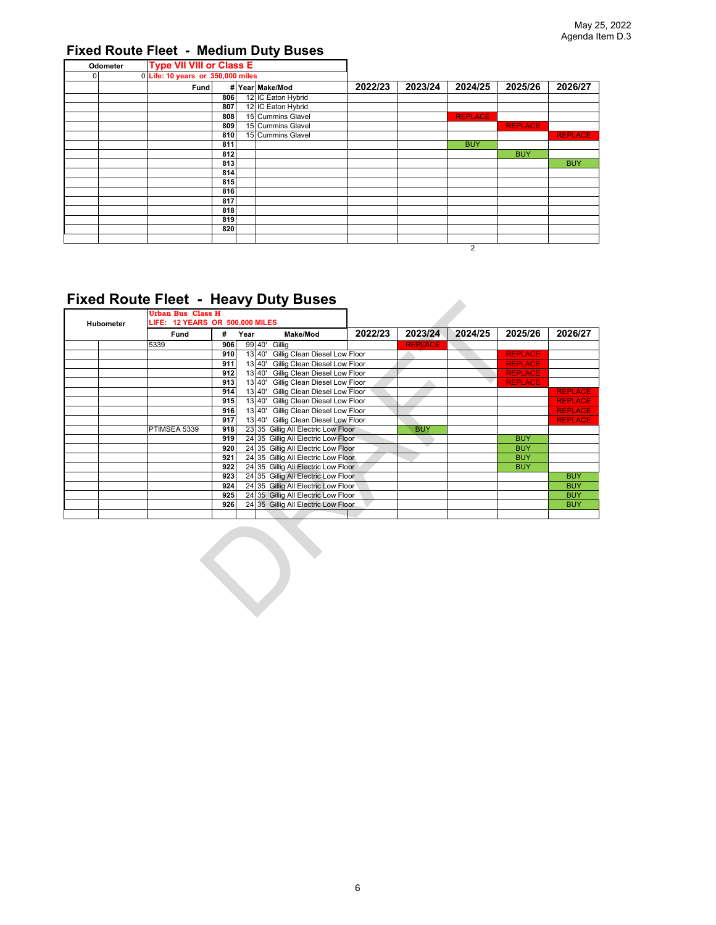### **Fixed Route Fleet - Medium Duty Buses**

| Odometer       | Type VII VIII or Class E          |     |                    |         |         |                |                |                |
|----------------|-----------------------------------|-----|--------------------|---------|---------|----------------|----------------|----------------|
| $\overline{0}$ | 0 Life: 10 years or 350,000 miles |     |                    |         |         |                |                |                |
|                | Fund                              |     | # Year Make/Mod    | 2022/23 | 2023/24 | 2024/25        | 2025/26        | 2026/27        |
|                |                                   | 806 | 12 IC Eaton Hybrid |         |         |                |                |                |
|                |                                   | 807 | 12 IC Eaton Hybrid |         |         |                |                |                |
|                |                                   | 808 | 15 Cummins Glavel  |         |         | <b>REPLACE</b> |                |                |
|                |                                   | 809 | 15 Cummins Glavel  |         |         |                | <b>REPLACE</b> |                |
|                |                                   | 810 | 15 Cummins Glavel  |         |         |                |                | <b>REPLACE</b> |
|                |                                   | 811 |                    |         |         | <b>BUY</b>     |                |                |
|                |                                   | 812 |                    |         |         |                | <b>BUY</b>     |                |
|                |                                   | 813 |                    |         |         |                |                | <b>BUY</b>     |
|                |                                   | 814 |                    |         |         |                |                |                |
|                |                                   | 815 |                    |         |         |                |                |                |
|                |                                   | 816 |                    |         |         |                |                |                |
|                |                                   | 817 |                    |         |         |                |                |                |
|                |                                   | 818 |                    |         |         |                |                |                |
|                |                                   | 819 |                    |         |         |                |                |                |
|                |                                   | 820 |                    |         |         |                |                |                |
|                |                                   |     |                    |         |         |                |                |                |
|                |                                   |     |                    |         |         | $\overline{2}$ |                |                |

ī

### **Fixed Route Fleet - Heavy Duty Buses**

| Hubometer | <b>Urban Bus Class H</b><br>LIFE: 12 YEARS OR 500,000 MILES |            |      |                                                                            |         |                |         |                |                |
|-----------|-------------------------------------------------------------|------------|------|----------------------------------------------------------------------------|---------|----------------|---------|----------------|----------------|
|           | Fund                                                        | #          | Year | <b>Make/Mod</b>                                                            | 2022/23 | 2023/24        | 2024/25 | 2025/26        | 2026/27        |
|           | 5339                                                        | 906        |      | 99 40' Gillig                                                              |         | <b>REPLACE</b> |         |                |                |
|           |                                                             | 910        |      | 13 40' Gillig Clean Diesel Low Floor                                       |         |                |         | <b>REPLACE</b> |                |
|           |                                                             | 911        |      | 13 40' Gillig Clean Diesel Low Floor                                       |         |                |         | <b>REPLACE</b> |                |
|           |                                                             | 912        |      | 13 40' Gillig Clean Diesel Low Floor                                       |         |                |         | <b>REPLACE</b> |                |
|           |                                                             | 913        |      | 13 40' Gillig Clean Diesel Low Floor                                       |         |                |         | <b>REPLACE</b> |                |
|           |                                                             | 914        |      | 13 40' Gillig Clean Diesel Low Floor                                       |         |                |         |                | <b>REPLACE</b> |
|           |                                                             | 915        |      | 13 40' Gillig Clean Diesel Low Floor                                       |         |                |         |                | <b>REPLACE</b> |
|           |                                                             | 916        |      | 13 40' Gillig Clean Diesel Low Floor                                       |         |                |         |                | <b>REPLACE</b> |
|           |                                                             | 917        |      | 13 40' Gillig Clean Diesel Low Floor                                       |         |                |         |                | <b>REPLACE</b> |
|           | PTIMSEA 5339                                                | 918        |      | 23 35 Gillig All Electric Low Floor                                        |         | <b>BUY</b>     |         |                |                |
|           |                                                             | 919        |      | 24 35 Gillig All Electric Low Floor                                        |         |                |         | <b>BUY</b>     |                |
|           |                                                             | 920        |      | 24 35 Gillig All Electric Low Floor                                        |         |                |         | <b>BUY</b>     |                |
|           |                                                             | 921        |      | 24 35 Gillig All Electric Low Floor                                        |         |                |         | <b>BUY</b>     |                |
|           |                                                             | 922        |      | 24 35 Gillig All Electric Low Floor                                        |         |                |         | <b>BUY</b>     | <b>BUY</b>     |
|           |                                                             | 923<br>924 |      | 24 35 Gillig All Electric Low Floor<br>24 35 Gillig All Electric Low Floor |         |                |         |                | <b>BUY</b>     |
|           |                                                             | 925        |      | 24 35 Gillig All Electric Low Floor                                        |         |                |         |                | <b>BUY</b>     |
|           |                                                             | 926        |      | 24 35 Gillig All Electric Low Floor                                        |         |                |         |                | <b>BUY</b>     |
|           |                                                             |            |      |                                                                            |         |                |         |                |                |
|           |                                                             |            |      |                                                                            |         |                |         |                |                |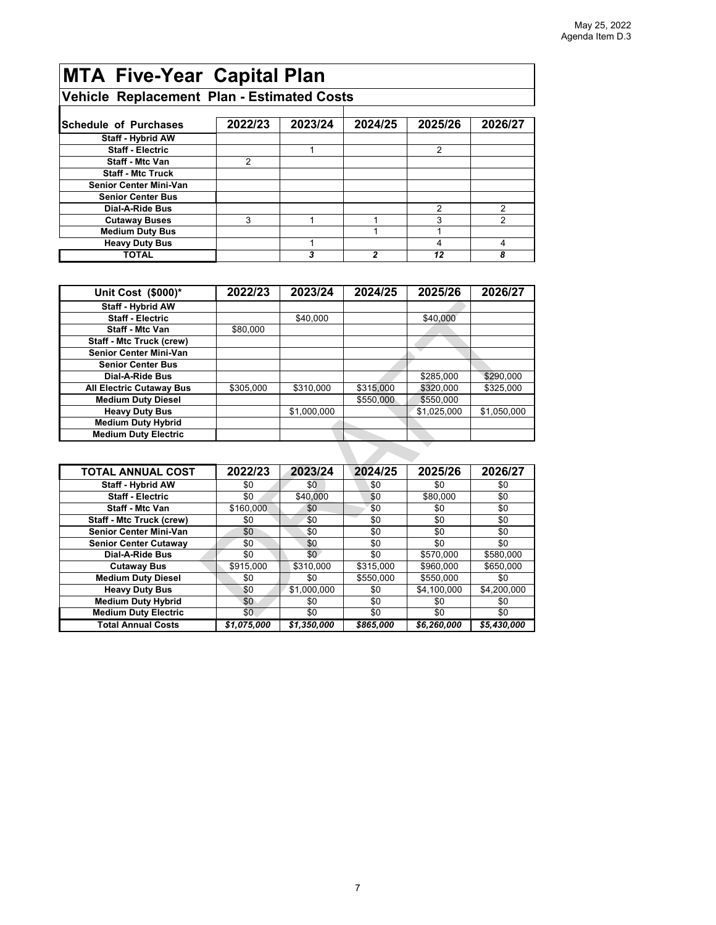## **MTA Five-Year Capital Plan**

### **Vehicle Replacement Plan - Estimated Costs**

| <b>Schedule of Purchases</b>  | 2022/23 | 2023/24 | 2024/25 | 2025/26        | 2026/27 |
|-------------------------------|---------|---------|---------|----------------|---------|
| <b>Staff - Hybrid AW</b>      |         |         |         |                |         |
| <b>Staff - Electric</b>       |         |         |         | 2              |         |
| <b>Staff - Mtc Van</b>        | 2       |         |         |                |         |
| <b>Staff - Mtc Truck</b>      |         |         |         |                |         |
| <b>Senior Center Mini-Van</b> |         |         |         |                |         |
| <b>Senior Center Bus</b>      |         |         |         |                |         |
| <b>Dial-A-Ride Bus</b>        |         |         |         | $\mathfrak{p}$ | 2       |
| <b>Cutaway Buses</b>          | 3       |         |         | 3              | 2       |
| <b>Medium Duty Bus</b>        |         |         |         |                |         |
| <b>Heavy Duty Bus</b>         |         |         |         | 4              | 4       |
| <b>TOTAL</b>                  |         | 3       |         | 12             |         |

| Unit Cost (\$000)*              | 2022/23   | 2023/24     | 2024/25   | 2025/26     | 2026/27     |
|---------------------------------|-----------|-------------|-----------|-------------|-------------|
| <b>Staff - Hybrid AW</b>        |           |             |           |             |             |
| <b>Staff - Electric</b>         |           | \$40,000    |           | \$40,000    |             |
| Staff - Mtc Van                 | \$80,000  |             |           |             |             |
| Staff - Mtc Truck (crew)        |           |             |           |             |             |
| Senior Center Mini-Van          |           |             |           |             |             |
| <b>Senior Center Bus</b>        |           |             |           |             |             |
| Dial-A-Ride Bus                 |           |             |           | \$285,000   | \$290,000   |
| <b>All Electric Cutaway Bus</b> | \$305,000 | \$310,000   | \$315,000 | \$320,000   | \$325,000   |
| <b>Medium Duty Diesel</b>       |           |             | \$550,000 | \$550,000   |             |
| <b>Heavy Duty Bus</b>           |           | \$1,000,000 |           | \$1.025.000 | \$1,050,000 |
| <b>Medium Duty Hybrid</b>       |           |             |           |             |             |
| <b>Medium Duty Electric</b>     |           |             |           |             |             |

| <b>Staff - Hybrid AW</b>        |           |             |           |                            |             |
|---------------------------------|-----------|-------------|-----------|----------------------------|-------------|
| <b>Staff - Electric</b>         |           | \$40,000    |           | \$40,000                   |             |
| Staff - Mtc Van                 | \$80,000  |             |           |                            |             |
| <b>Staff - Mtc Truck (crew)</b> |           |             |           |                            |             |
| <b>Senior Center Mini-Van</b>   |           |             |           |                            |             |
| <b>Senior Center Bus</b>        |           |             |           |                            |             |
| Dial-A-Ride Bus                 |           |             |           | \$285,000                  | \$290,000   |
| <b>All Electric Cutaway Bus</b> | \$305,000 | \$310,000   | \$315,000 | \$320,000                  | \$325,000   |
| <b>Medium Duty Diesel</b>       |           |             | \$550.000 | \$550,000                  |             |
| <b>Heavy Duty Bus</b>           |           | \$1,000,000 |           | \$1,025,000                | \$1,050,000 |
| <b>Medium Duty Hybrid</b>       |           |             |           |                            |             |
| <b>Medium Duty Electric</b>     |           |             |           |                            |             |
|                                 |           |             |           |                            |             |
| <b>TOTAL ANNUAL COST</b>        | 2022/23   | 2023/24     | 2024/25   | 2025/26                    | 2026/27     |
| <b>Staff - Hybrid AW</b>        | \$0       | \$0         | \$0       | \$0                        |             |
| <b>Staff - Electric</b>         |           |             |           |                            | \$0         |
|                                 | \$0       | \$40,000    | \$0       | \$80,000                   | \$0         |
| Staff - Mtc Van                 | \$160.000 | \$0         | \$0       | \$0                        | \$0         |
| Staff - Mtc Truck (crew)        | \$0       | \$0         | \$0       | \$0                        | \$0         |
| <b>Senior Center Mini-Van</b>   | \$0       | \$0         | \$0       | \$0                        | \$0         |
| <b>Senior Center Cutaway</b>    | \$0       | \$0         | \$0       | \$0                        | \$0         |
| Dial-A-Ride Bus                 | \$0       | \$0         | \$0       | \$570,000                  | \$580,000   |
| <b>Cutaway Bus</b>              | \$915,000 | \$310,000   | \$315,000 | \$960,000                  | \$650,000   |
| <b>Medium Duty Diesel</b>       | \$0       | \$0         | \$550,000 | \$550,000                  | \$0         |
| <b>Heavy Duty Bus</b>           | \$0       | \$1,000,000 | \$0       | \$4,100,000                | \$4,200,000 |
| <b>Medium Duty Hybrid</b>       | \$0       | \$0         | \$0       | \$0                        | \$0         |
| <b>Medium Duty Electric</b>     | \$0       | \$0         | \$0       | \$0<br>$\sqrt{$6,260,000}$ | \$0         |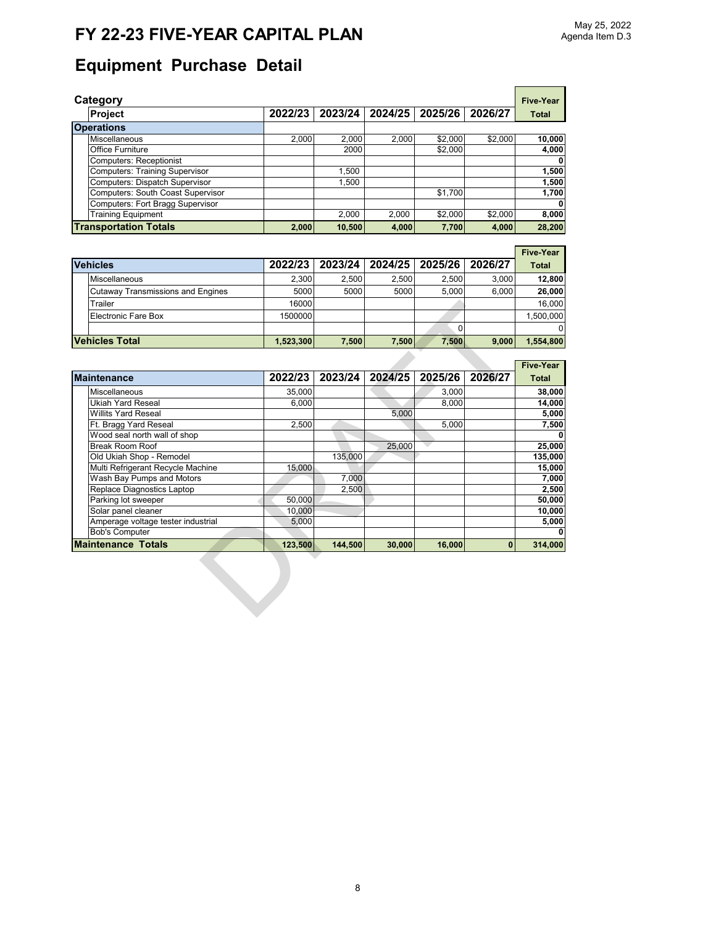## **FY 22-23 FIVE-YEAR CAPITAL PLAN**

## **Equipment Purchase Detail**

| Category                                 |         |         |         |         |         | <b>Five-Year</b> |
|------------------------------------------|---------|---------|---------|---------|---------|------------------|
| <b>Project</b>                           | 2022/23 | 2023/24 | 2024/25 | 2025/26 | 2026/27 | <b>Total</b>     |
| <b>Operations</b>                        |         |         |         |         |         |                  |
| Miscellaneous                            | 2,000   | 2,000   | 2,000   | \$2,000 | \$2,000 | 10,000           |
| <b>Office Furniture</b>                  |         | 2000    |         | \$2,000 |         | 4,000            |
| <b>Computers: Receptionist</b>           |         |         |         |         |         | $\mathbf{0}$     |
| <b>Computers: Training Supervisor</b>    |         | 1.500   |         |         |         | 1,500            |
| Computers: Dispatch Supervisor           |         | 1.500   |         |         |         | 1,500            |
| <b>Computers: South Coast Supervisor</b> |         |         |         | \$1,700 |         | 1,700            |
| Computers: Fort Bragg Supervisor         |         |         |         |         |         | 0                |
| <b>Training Equipment</b>                |         | 2,000   | 2.000   | \$2,000 | \$2,000 | 8,000            |
| <b>Transportation Totals</b>             | 2,000   | 10,500  | 4,000   | 7,700   | 4.000   | 28,200           |

|                                          |           |         |         |         |         | <b>Five-Year</b> |
|------------------------------------------|-----------|---------|---------|---------|---------|------------------|
| <b>Vehicles</b>                          | 2022/23   | 2023/24 | 2024/25 | 2025/26 | 2026/27 | <b>Total</b>     |
| <b>Miscellaneous</b>                     | 2,300     | 2.500   | 2.500   | 2.500   | 3.000   | 12,800           |
| <b>Cutaway Transmissions and Engines</b> | 5000      | 5000    | 5000    | 5.000   | 6.000   | 26,000           |
| Trailer                                  | 16000     |         |         |         |         | 16.000           |
| Electronic Fare Box                      | 1500000   |         |         |         |         | 1,500,000        |
|                                          |           |         |         |         |         | $\Omega$         |
| <b>Vehicles Total</b>                    | 1,523,300 | 7,500   | 7,500   | 7,500   | 9,000   | 1,554,800        |

| Trailer                            | 16000     |         |         |          |              | 16,000           |
|------------------------------------|-----------|---------|---------|----------|--------------|------------------|
| <b>Electronic Fare Box</b>         | 1500000   |         |         |          |              | 1,500,000        |
|                                    |           |         |         | $\Omega$ |              |                  |
| <b>Vehicles Total</b>              | 1,523,300 | 7,500   | 7,500   | 7,500    | 9,000        | 1,554,800        |
|                                    |           |         |         |          |              |                  |
|                                    |           |         |         |          |              | <b>Five-Year</b> |
| <b>Maintenance</b>                 | 2022/23   | 2023/24 | 2024/25 | 2025/26  | 2026/27      | <b>Total</b>     |
| <b>Miscellaneous</b>               | 35.000    |         |         | 3,000    |              | 38,000           |
| <b>Ukiah Yard Reseal</b>           | 6,000     |         |         | 8,000    |              | 14,000           |
| <b>Willits Yard Reseal</b>         |           |         | 5,000   |          |              | 5,000            |
| Ft. Bragg Yard Reseal              | 2,500     |         |         | 5,000    |              | 7,500            |
| Wood seal north wall of shop       |           |         |         |          |              |                  |
| <b>Break Room Roof</b>             |           |         | 25,000  |          |              | 25,000           |
| Old Ukiah Shop - Remodel           |           | 135,000 |         |          |              | 135,000          |
| Multi Refrigerant Recycle Machine  | 15,000    |         |         |          |              | 15,000           |
| Wash Bay Pumps and Motors          |           | 7,000   |         |          |              | 7,000            |
| Replace Diagnostics Laptop         |           | 2,500   |         |          |              | 2,500            |
| Parking lot sweeper                | 50,000    |         |         |          |              | 50,000           |
| Solar panel cleaner                | 10.000    |         |         |          |              | 10,000           |
| Amperage voltage tester industrial | 5,000     |         |         |          |              | 5,000            |
| <b>Bob's Computer</b>              |           |         |         |          |              |                  |
| <b>Maintenance Totals</b>          | 123,500   | 144,500 | 30,000  | 16,000   | $\mathbf{0}$ | 314,000          |
|                                    |           |         |         |          |              |                  |
|                                    |           |         |         |          |              |                  |
|                                    |           |         |         |          |              |                  |
|                                    |           |         |         |          |              |                  |
|                                    |           |         |         |          |              |                  |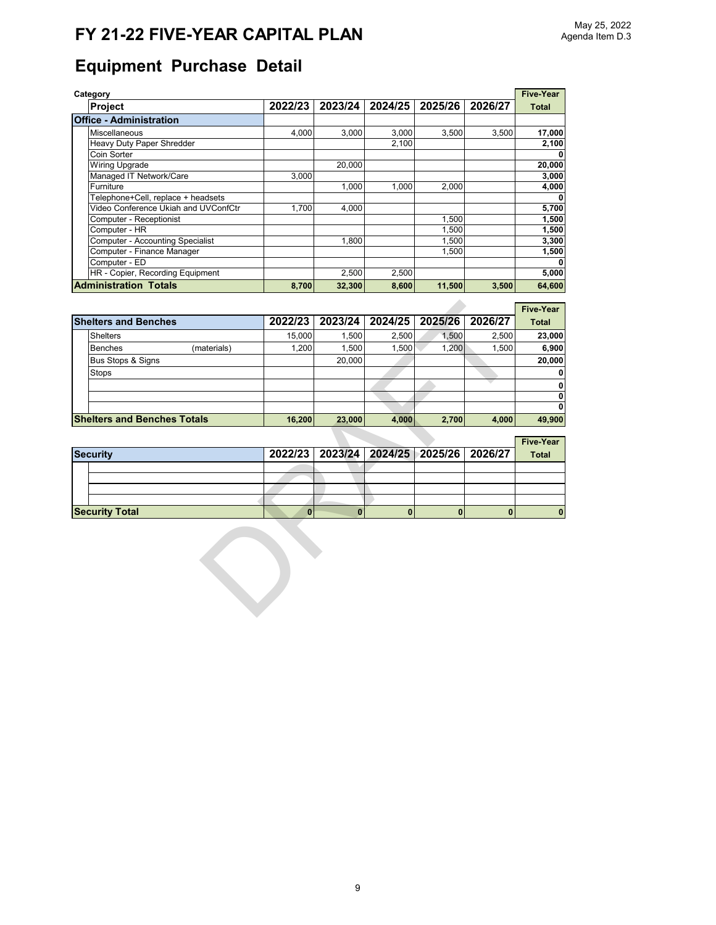## **FY 21-22 FIVE-YEAR CAPITAL PLAN**

## **Equipment Purchase Detail**

| Category                                |         |         |         |         |         | Five-Year    |
|-----------------------------------------|---------|---------|---------|---------|---------|--------------|
| <b>Project</b>                          | 2022/23 | 2023/24 | 2024/25 | 2025/26 | 2026/27 | <b>Total</b> |
| <b>Office - Administration</b>          |         |         |         |         |         |              |
| Miscellaneous                           | 4,000   | 3,000   | 3,000   | 3,500   | 3,500   | 17,000       |
| Heavy Duty Paper Shredder               |         |         | 2,100   |         |         | 2,100        |
| Coin Sorter                             |         |         |         |         |         | 0            |
| Wiring Upgrade                          |         | 20,000  |         |         |         | 20,000       |
| Managed IT Network/Care                 | 3,000   |         |         |         |         | 3,000        |
| Furniture                               |         | 1.000   | 1.000   | 2,000   |         | 4,000        |
| Telephone+Cell, replace + headsets      |         |         |         |         |         | 0            |
| Video Conference Ukiah and UVConfCtr    | 1.700   | 4.000   |         |         |         | 5,700        |
| Computer - Receptionist                 |         |         |         | 1,500   |         | 1,500        |
| Computer - HR                           |         |         |         | 1,500   |         | 1,500        |
| <b>Computer - Accounting Specialist</b> |         | 1.800   |         | 1,500   |         | 3,300        |
| Computer - Finance Manager              |         |         |         | 1,500   |         | 1,500        |
| Computer - ED                           |         |         |         |         |         | 0            |
| HR - Copier, Recording Equipment        |         | 2,500   | 2,500   |         |         | 5,000        |
| <b>Administration Totals</b>            | 8.700   | 32,300  | 8.600   | 11.500  | 3.500   | 64.600       |

### **Five-Year**

|                                    |          |           |         |          |              | <b>Five-Year</b> |
|------------------------------------|----------|-----------|---------|----------|--------------|------------------|
| <b>Shelters and Benches</b>        | 2022/23  | 2023/24   | 2024/25 | 2025/26  | 2026/27      | <b>Total</b>     |
| <b>Shelters</b>                    | 15,000   | 1,500     | 2,500   | 1,500    | 2,500        | 23,000           |
| (materials)<br><b>Benches</b>      | 1,200    | 1,500     | 1,500   | 1,200    | 1,500        | 6,900            |
| Bus Stops & Signs                  |          | 20,000    |         |          |              | 20,000           |
| <b>Stops</b>                       |          |           |         |          |              | 0                |
|                                    |          |           |         |          |              | 0                |
|                                    |          |           |         |          |              | 0                |
|                                    |          |           |         |          |              | 0                |
| <b>Shelters and Benches Totals</b> | 16,200   | 23,000    | 4,000   | 2,700    | 4,000        | 49,900           |
|                                    |          |           |         |          |              | Five-Year        |
|                                    |          |           |         |          |              |                  |
| <b>Security</b>                    | 2022/23  | 2023/24   | 2024/25 | 2025/26  | 2026/27      | <b>Total</b>     |
|                                    |          |           |         |          |              |                  |
|                                    |          |           |         |          |              |                  |
|                                    |          |           |         |          |              |                  |
|                                    |          |           |         |          |              |                  |
| <b>Security Total</b>              | $\bf{0}$ | $\pmb{0}$ | 0       | $\bf{0}$ | $\mathbf{0}$ | $\bf{0}$         |
|                                    |          |           |         |          |              |                  |

|  | <b>Security</b>       |  | 2022/23 2023/24 2024/25 2025/26 2026/27 |  |  |  | <b>Total</b> |  |
|--|-----------------------|--|-----------------------------------------|--|--|--|--------------|--|
|  |                       |  |                                         |  |  |  |              |  |
|  |                       |  |                                         |  |  |  |              |  |
|  |                       |  |                                         |  |  |  |              |  |
|  |                       |  |                                         |  |  |  |              |  |
|  | <b>Security Total</b> |  |                                         |  |  |  |              |  |